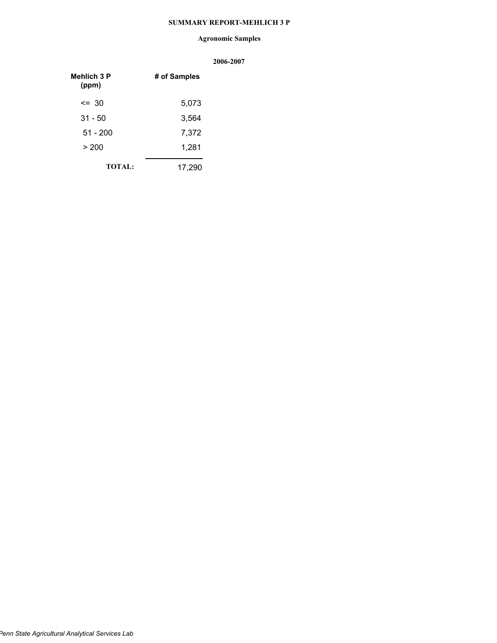## **SUMMARY REPORT-MEHLICH 3 P**

## **Agronomic Samples**

| <b>Mehlich 3 P</b><br>(ppm) | # of Samples |
|-----------------------------|--------------|
| $\leq$ 30                   | 5,073        |
| $31 - 50$                   | 3,564        |
| $51 - 200$                  | 7,372        |
| > 200                       | 1,281        |
| <b>TOTAL:</b>               | 17,290       |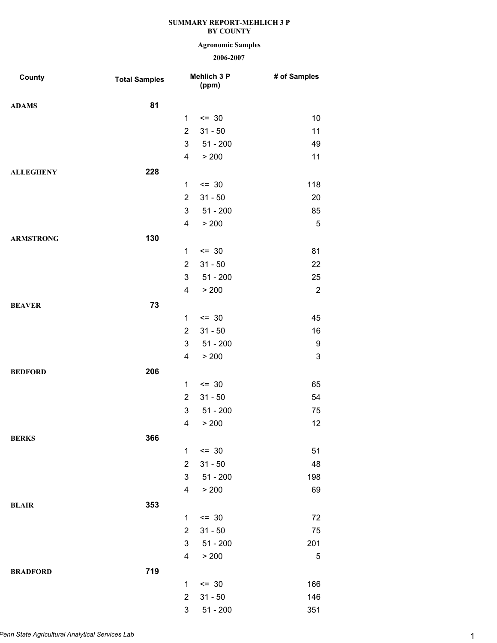# **Agronomic Samples**

| County           | <b>Total Samples</b> |                | Mehlich 3 P<br>(ppm) | # of Samples              |
|------------------|----------------------|----------------|----------------------|---------------------------|
| <b>ADAMS</b>     | 81                   |                |                      |                           |
|                  |                      | $\mathbf{1}$   | $= 30$               | 10                        |
|                  |                      | $\overline{2}$ | $31 - 50$            | 11                        |
|                  |                      | 3              | $51 - 200$           | 49                        |
|                  |                      | 4              | > 200                | 11                        |
| <b>ALLEGHENY</b> | 228                  |                |                      |                           |
|                  |                      | $\mathbf{1}$   | $\leq$ 30            | 118                       |
|                  |                      | $\overline{2}$ | $31 - 50$            | 20                        |
|                  |                      | 3              | $51 - 200$           | 85                        |
|                  |                      | 4              | > 200                | $\sqrt{5}$                |
| <b>ARMSTRONG</b> | 130                  |                |                      |                           |
|                  |                      | $\mathbf{1}$   | $= 30$               | 81                        |
|                  |                      | $\overline{2}$ | $31 - 50$            | 22                        |
|                  |                      | 3              | $51 - 200$           | 25                        |
|                  |                      | 4              | > 200                | $\overline{2}$            |
| <b>BEAVER</b>    | 73                   |                |                      |                           |
|                  |                      | $\mathbf{1}$   | $= 30$               | 45                        |
|                  |                      | $\overline{2}$ | $31 - 50$            | 16                        |
|                  |                      | 3              | $51 - 200$           | 9                         |
|                  |                      | 4              | > 200                | $\ensuremath{\mathsf{3}}$ |
| <b>BEDFORD</b>   | 206                  |                |                      |                           |
|                  |                      | $\mathbf{1}$   | $= 30$               | 65                        |
|                  |                      | $\overline{2}$ | $31 - 50$            | 54                        |
|                  |                      | 3              | $51 - 200$           | 75                        |
|                  |                      | 4              | > 200                | 12                        |
| <b>BERKS</b>     | 366                  |                |                      |                           |
|                  |                      | $\mathbf{1}$   | $= 30$               | 51                        |
|                  |                      | $\overline{2}$ | $31 - 50$            | 48                        |
|                  |                      | 3              | $51 - 200$           | 198                       |
|                  |                      | 4              | > 200                | 69                        |
| <b>BLAIR</b>     | 353                  |                |                      |                           |
|                  |                      | $\mathbf{1}$   | $= 30$               | 72                        |
|                  |                      | $\overline{2}$ | $31 - 50$            | 75                        |
|                  |                      | 3              | $51 - 200$           | 201                       |
|                  |                      | 4              | > 200                | 5                         |
| <b>BRADFORD</b>  | 719                  |                |                      |                           |
|                  |                      | 1              | $= 30$               | 166                       |
|                  |                      | $\overline{2}$ | $31 - 50$            | 146                       |
|                  |                      | 3              | $51 - 200$           | 351                       |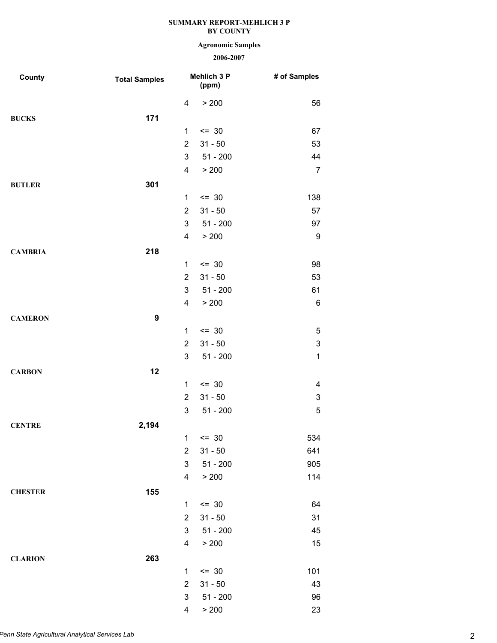# **Agronomic Samples**

| County         | <b>Total Samples</b> |                         | Mehlich 3 P<br>(ppm) | # of Samples              |
|----------------|----------------------|-------------------------|----------------------|---------------------------|
|                |                      | 4                       | > 200                | 56                        |
| <b>BUCKS</b>   | 171                  |                         |                      |                           |
|                |                      | $\mathbf{1}$            | $= 30$               | 67                        |
|                |                      | $\overline{2}$          | $31 - 50$            | 53                        |
|                |                      | 3                       | $51 - 200$           | 44                        |
|                |                      | 4                       | > 200                | $\overline{7}$            |
| <b>BUTLER</b>  | 301                  |                         |                      |                           |
|                |                      | $\mathbf 1$             | $= 30$               | 138                       |
|                |                      | $\overline{2}$          | $31 - 50$            | 57                        |
|                |                      | 3                       | $51 - 200$           | 97                        |
|                |                      | 4                       | > 200                | 9                         |
| <b>CAMBRIA</b> | 218                  |                         |                      |                           |
|                |                      | 1                       | $= 30$               | 98                        |
|                |                      | $\overline{2}$          | $31 - 50$            | 53                        |
|                |                      | 3                       | $51 - 200$           | 61                        |
|                |                      | $\overline{4}$          | > 200                | $\,6$                     |
| <b>CAMERON</b> | $\boldsymbol{9}$     |                         |                      |                           |
|                |                      | $\mathbf{1}$            | $\leq$ 30            | 5                         |
|                |                      | $\overline{2}$          | $31 - 50$            | $\ensuremath{\mathsf{3}}$ |
|                |                      | 3                       | $51 - 200$           | $\mathbf 1$               |
| <b>CARBON</b>  | 12                   |                         |                      |                           |
|                |                      | $\mathbf{1}$            | $= 30$               | 4                         |
|                |                      | $\overline{2}$          | $31 - 50$            | 3                         |
|                |                      | 3                       | $51 - 200$           | 5                         |
| <b>CENTRE</b>  | 2,194                |                         |                      |                           |
|                |                      | 1                       | $\leq$ 30            | 534                       |
|                |                      | $\overline{2}$          | $31 - 50$            | 641                       |
|                |                      | 3                       | $51 - 200$           | 905                       |
|                |                      | $\overline{\mathbf{4}}$ | > 200                | 114                       |
| <b>CHESTER</b> | 155                  |                         |                      |                           |
|                |                      | $\mathbf{1}$            | $= 30$               | 64                        |
|                |                      | $\overline{2}$          | $31 - 50$            | 31                        |
|                |                      | 3                       | $51 - 200$           | 45                        |
|                |                      | $\overline{\mathbf{4}}$ | > 200                | 15                        |
| <b>CLARION</b> | 263                  |                         |                      |                           |
|                |                      | 1                       | $= 30$               | 101                       |
|                |                      | $\overline{2}$          | $31 - 50$            | 43                        |
|                |                      | 3                       | $51 - 200$           | 96                        |
|                |                      | 4                       | > 200                | 23                        |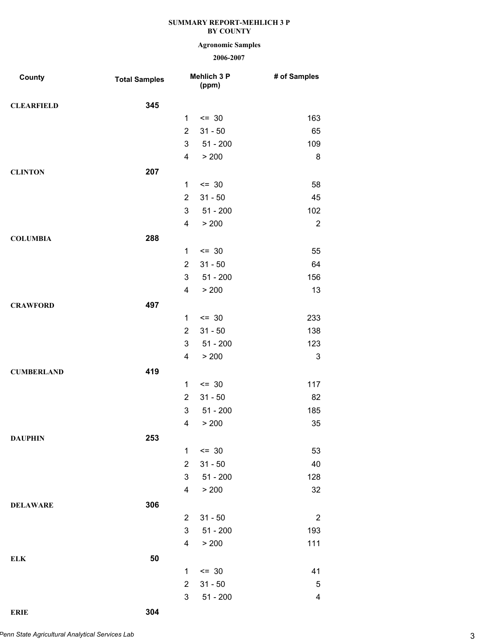# **Agronomic Samples**

| County            | <b>Total Samples</b> |                | Mehlich 3 P<br>(ppm) | # of Samples   |
|-------------------|----------------------|----------------|----------------------|----------------|
| <b>CLEARFIELD</b> | 345                  |                |                      |                |
|                   |                      | $\mathbf{1}$   | $\leq$ 30            | 163            |
|                   |                      | $\overline{2}$ | $31 - 50$            | 65             |
|                   |                      | 3              | $51 - 200$           | 109            |
|                   |                      | 4              | > 200                | 8              |
| <b>CLINTON</b>    | 207                  |                |                      |                |
|                   |                      | 1              | $= 30$               | 58             |
|                   |                      | $\overline{2}$ | $31 - 50$            | 45             |
|                   |                      | 3              | $51 - 200$           | 102            |
|                   |                      | 4              | > 200                | $\overline{2}$ |
| <b>COLUMBIA</b>   | 288                  |                |                      |                |
|                   |                      | $\mathbf{1}$   | $= 30$               | 55             |
|                   |                      | $\overline{2}$ | $31 - 50$            | 64             |
|                   |                      | 3              | $51 - 200$           | 156            |
|                   |                      | 4              | > 200                | 13             |
| <b>CRAWFORD</b>   | 497                  |                |                      |                |
|                   |                      | $\mathbf{1}$   | $\leq$ 30            | 233            |
|                   |                      | $\overline{2}$ | $31 - 50$            | 138            |
|                   |                      | 3              | $51 - 200$           | 123            |
|                   |                      | 4              | > 200                | 3              |
| <b>CUMBERLAND</b> | 419                  |                |                      |                |
|                   |                      | 1              | $= 30$               | 117            |
|                   |                      | $\overline{2}$ | $31 - 50$            | 82             |
|                   |                      | 3              | $51 - 200$           | 185            |
|                   |                      | 4              | > 200                | 35             |
| <b>DAUPHIN</b>    | 253                  |                |                      |                |
|                   |                      | $\mathbf{1}$   | $= 30$               | 53             |
|                   |                      | $\overline{2}$ | $31 - 50$            | 40             |
|                   |                      | 3              | $51 - 200$           | 128            |
|                   |                      | 4              | > 200                | 32             |
| <b>DELAWARE</b>   | 306                  |                |                      |                |
|                   |                      | $\overline{2}$ | $31 - 50$            | $\overline{2}$ |
|                   |                      | 3              | $51 - 200$           | 193            |
|                   |                      | 4              | > 200                | 111            |
| <b>ELK</b>        | 50                   |                |                      |                |
|                   |                      | 1              | $= 30$               | 41             |
|                   |                      | $\overline{2}$ | $31 - 50$            | 5              |
|                   |                      | 3              | $51 - 200$           | 4              |
| <b>ERIE</b>       | 304                  |                |                      |                |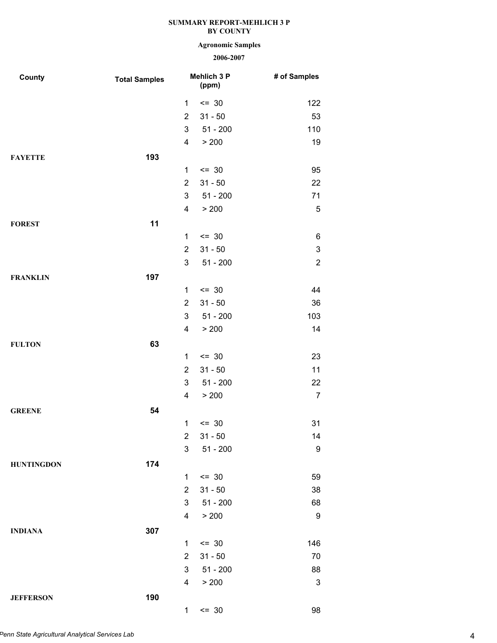# **Agronomic Samples**

| County            | <b>Total Samples</b> |                         | Mehlich 3 P<br>(ppm) | # of Samples              |
|-------------------|----------------------|-------------------------|----------------------|---------------------------|
|                   |                      | 1                       | $= 30$               | 122                       |
|                   |                      | $\overline{2}$          | $31 - 50$            | 53                        |
|                   |                      | 3                       | $51 - 200$           | 110                       |
|                   |                      | 4                       | > 200                | 19                        |
| <b>FAYETTE</b>    | 193                  |                         |                      |                           |
|                   |                      | 1                       | $= 30$               | 95                        |
|                   |                      | $\overline{2}$          | $31 - 50$            | 22                        |
|                   |                      | 3                       | $51 - 200$           | 71                        |
|                   |                      | 4                       | > 200                | $\sqrt{5}$                |
| <b>FOREST</b>     | 11                   |                         |                      |                           |
|                   |                      | $\mathbf{1}$            | $= 30$               | 6                         |
|                   |                      | $\overline{2}$          | $31 - 50$            | $\ensuremath{\mathsf{3}}$ |
|                   |                      | 3                       | $51 - 200$           | $\overline{\mathbf{c}}$   |
| <b>FRANKLIN</b>   | 197                  |                         |                      |                           |
|                   |                      | $\mathbf{1}$            | $= 30$               | 44                        |
|                   |                      | $\overline{2}$          | $31 - 50$            | 36                        |
|                   |                      | 3                       | $51 - 200$           | 103                       |
|                   |                      | 4                       | > 200                | 14                        |
| <b>FULTON</b>     | 63                   |                         |                      |                           |
|                   |                      | $\mathbf{1}$            | $= 30$               | 23                        |
|                   |                      | $\overline{2}$          | $31 - 50$            | 11                        |
|                   |                      | 3                       | $51 - 200$           | 22                        |
|                   |                      | 4                       | > 200                | $\overline{7}$            |
| <b>GREENE</b>     | 54                   |                         |                      |                           |
|                   |                      | 1                       | $= 30$               | 31                        |
|                   |                      | $\overline{2}$          | $31 - 50$            | 14                        |
|                   |                      | 3                       | $51 - 200$           | 9                         |
| <b>HUNTINGDON</b> | 174                  |                         |                      |                           |
|                   |                      | 1                       | $= 30$               | 59                        |
|                   |                      | $\overline{2}$          | $31 - 50$            | 38                        |
|                   |                      | 3                       | $51 - 200$           | 68                        |
|                   |                      | 4                       | > 200                | 9                         |
| <b>INDIANA</b>    | 307                  |                         |                      |                           |
|                   |                      | $\mathbf{1}$            | $= 30$               | 146                       |
|                   |                      | $\overline{2}$          | $31 - 50$            | 70                        |
|                   |                      | 3                       | $51 - 200$           | 88                        |
|                   |                      | $\overline{\mathbf{4}}$ | > 200                | 3                         |
| <b>JEFFERSON</b>  | 190                  |                         |                      |                           |
|                   |                      | $\mathbf 1$             | $= 30$               | 98                        |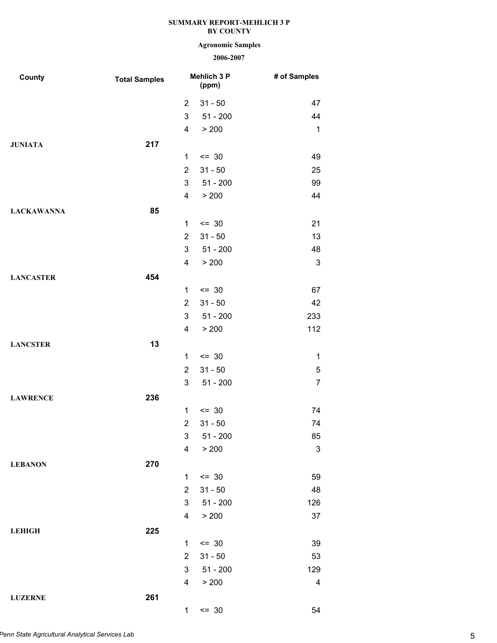# **Agronomic Samples**

| County            | <b>Total Samples</b> |                | Mehlich 3 P<br>(ppm) | # of Samples   |
|-------------------|----------------------|----------------|----------------------|----------------|
|                   |                      | $\overline{2}$ | $31 - 50$            | 47             |
|                   |                      | 3              | $51 - 200$           | 44             |
|                   |                      | 4              | > 200                | 1              |
| <b>JUNIATA</b>    | 217                  |                |                      |                |
|                   |                      | $\mathbf{1}$   | $= 30$               | 49             |
|                   |                      | $\overline{2}$ | $31 - 50$            | 25             |
|                   |                      | 3              | $51 - 200$           | 99             |
|                   |                      | 4              | > 200                | 44             |
| <b>LACKAWANNA</b> | 85                   |                |                      |                |
|                   |                      | $\mathbf{1}$   | $= 30$               | 21             |
|                   |                      | $\overline{2}$ | $31 - 50$            | 13             |
|                   |                      | 3              | $51 - 200$           | 48             |
|                   |                      | 4              | > 200                | 3              |
| <b>LANCASTER</b>  | 454                  |                |                      |                |
|                   |                      | 1              | $= 30$               | 67             |
|                   |                      | $\overline{2}$ | $31 - 50$            | 42             |
|                   |                      | 3              | $51 - 200$           | 233            |
|                   |                      | 4              | > 200                | 112            |
| <b>LANCSTER</b>   | 13                   |                |                      |                |
|                   |                      | $\mathbf{1}$   | $\leq$ 30            | $\mathbf 1$    |
|                   |                      | $\overline{2}$ | $31 - 50$            | 5              |
|                   |                      | 3              | $51 - 200$           | $\overline{7}$ |
| <b>LAWRENCE</b>   | 236                  |                |                      |                |
|                   |                      | 1              | $= 30$               | 74             |
|                   |                      | $\overline{2}$ | $31 - 50$            | 74             |
|                   |                      | 3              | $51 - 200$           | 85             |
|                   |                      | 4              | > 200                | 3              |
| <b>LEBANON</b>    | 270                  |                |                      |                |
|                   |                      | $\mathbf{1}$   | $\leq$ 30            | 59             |
|                   |                      | $\overline{2}$ | $31 - 50$            | 48             |
|                   |                      | 3              | $51 - 200$           | 126            |
|                   |                      | 4              | > 200                | 37             |
| <b>LEHIGH</b>     | 225                  |                |                      |                |
|                   |                      | $\mathbf{1}$   | $= 30$               | 39             |
|                   |                      | $\overline{2}$ | $31 - 50$            | 53             |
|                   |                      | 3              | $51 - 200$           | 129            |
|                   |                      | 4              | > 200                | 4              |
| <b>LUZERNE</b>    | 261                  |                |                      |                |
|                   |                      | $\mathbf 1$    | $= 30$               | 54             |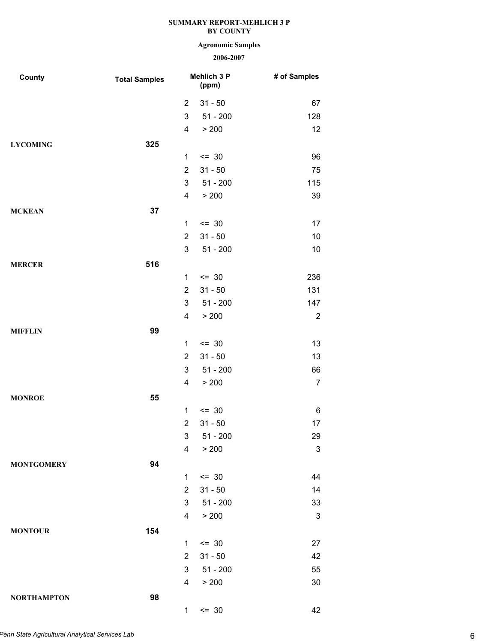# **Agronomic Samples**

| County             | <b>Total Samples</b> |                | Mehlich 3 P<br>(ppm) | # of Samples              |
|--------------------|----------------------|----------------|----------------------|---------------------------|
|                    |                      | $\overline{2}$ | $31 - 50$            | 67                        |
|                    |                      | 3              | $51 - 200$           | 128                       |
|                    |                      | 4              | > 200                | 12                        |
| <b>LYCOMING</b>    | 325                  |                |                      |                           |
|                    |                      | $\mathbf{1}$   | $= 30$               | 96                        |
|                    |                      | $\overline{2}$ | $31 - 50$            | 75                        |
|                    |                      | 3              | $51 - 200$           | 115                       |
|                    |                      | 4              | > 200                | 39                        |
| <b>MCKEAN</b>      | 37                   |                |                      |                           |
|                    |                      | 1              | $= 30$               | 17                        |
|                    |                      | $\overline{2}$ | $31 - 50$            | 10                        |
|                    |                      | 3              | $51 - 200$           | 10                        |
| <b>MERCER</b>      | 516                  |                |                      |                           |
|                    |                      | 1              | $= 30$               | 236                       |
|                    |                      | $\overline{2}$ | $31 - 50$            | 131                       |
|                    |                      | 3              | $51 - 200$           | 147                       |
|                    |                      | 4              | > 200                | $\overline{2}$            |
| <b>MIFFLIN</b>     | 99                   |                |                      |                           |
|                    |                      | 1              | $= 30$               | 13                        |
|                    |                      | $\overline{2}$ | $31 - 50$            | 13                        |
|                    |                      | 3              | $51 - 200$           | 66                        |
|                    |                      | 4              | > 200                | $\overline{7}$            |
| <b>MONROE</b>      | 55                   |                |                      |                           |
|                    |                      | 1              | $= 30$               | 6                         |
|                    |                      | $\overline{2}$ | $31 - 50$            | 17                        |
|                    |                      | 3 <sup>7</sup> | $51 - 200$           | 29                        |
|                    |                      | 4              | > 200                | $\ensuremath{\mathsf{3}}$ |
| <b>MONTGOMERY</b>  | 94                   |                |                      |                           |
|                    |                      | $\mathbf{1}$   | $\leq$ 30            | 44                        |
|                    |                      | $\overline{2}$ | $31 - 50$            | 14                        |
|                    |                      | 3              | $51 - 200$           | 33                        |
|                    |                      | 4              | > 200                | 3                         |
| <b>MONTOUR</b>     | 154                  |                |                      |                           |
|                    |                      | 1              | $= 30$               | 27                        |
|                    |                      | $\overline{2}$ | $31 - 50$            | 42                        |
|                    |                      | 3              | $51 - 200$           | 55                        |
|                    |                      | 4              | > 200                | 30                        |
| <b>NORTHAMPTON</b> | 98                   |                |                      |                           |
|                    |                      | $\mathbf 1$    | $= 30$               | 42                        |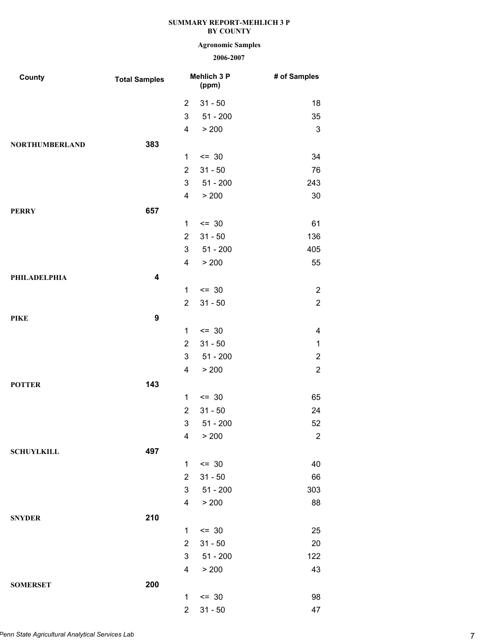# **Agronomic Samples**

| <b>County</b>         | <b>Total Samples</b> |                | Mehlich 3 P<br>(ppm) | # of Samples   |
|-----------------------|----------------------|----------------|----------------------|----------------|
|                       |                      | $\overline{2}$ | $31 - 50$            | 18             |
|                       |                      | 3              | $51 - 200$           | 35             |
|                       |                      | 4              | > 200                | $\mathsf 3$    |
| <b>NORTHUMBERLAND</b> | 383                  |                |                      |                |
|                       |                      | $\mathbf{1}$   | $= 30$               | 34             |
|                       |                      | $\overline{2}$ | $31 - 50$            | 76             |
|                       |                      | 3              | $51 - 200$           | 243            |
|                       |                      | 4              | > 200                | 30             |
| <b>PERRY</b>          | 657                  |                |                      |                |
|                       |                      | 1              | $= 30$               | 61             |
|                       |                      | $\overline{2}$ | $31 - 50$            | 136            |
|                       |                      | 3              | $51 - 200$           | 405            |
|                       |                      | 4              | > 200                | 55             |
| <b>PHILADELPHIA</b>   | 4                    |                |                      |                |
|                       |                      | 1              | $= 30$               | $\overline{2}$ |
|                       |                      | $\overline{2}$ | $31 - 50$            | $\overline{2}$ |
| <b>PIKE</b>           | 9                    |                |                      |                |
|                       |                      | 1              | $= 30$               | 4              |
|                       |                      | $\overline{2}$ | $31 - 50$            | $\mathbf 1$    |
|                       |                      | 3              | $51 - 200$           | 2              |
|                       |                      | 4              | > 200                | $\overline{2}$ |
| <b>POTTER</b>         | 143                  |                |                      |                |
|                       |                      | 1              | $= 30$               | 65             |
|                       |                      | $\overline{2}$ | $31 - 50$            | 24             |
|                       |                      | 3              | $51 - 200$           | 52             |
|                       |                      | 4              | > 200                | $\mathbf{2}$   |
| <b>SCHUYLKILL</b>     | 497                  |                |                      |                |
|                       |                      | 1              | $= 30$               | 40             |
|                       |                      | $\overline{2}$ | $31 - 50$            | 66             |
|                       |                      | 3              | $51 - 200$           | 303            |
|                       |                      | 4              | > 200                | 88             |
| <b>SNYDER</b>         | 210                  |                |                      |                |
|                       |                      | $\mathbf 1$    | $= 30$               | 25             |
|                       |                      | $\overline{2}$ | $31 - 50$            | 20             |
|                       |                      | 3              | $51 - 200$           | 122            |
|                       |                      | 4              | > 200                | 43             |
| <b>SOMERSET</b>       | 200                  |                |                      |                |
|                       |                      | 1              | $\leq$ 30            | 98             |
|                       |                      | $\overline{2}$ | $31 - 50$            | 47             |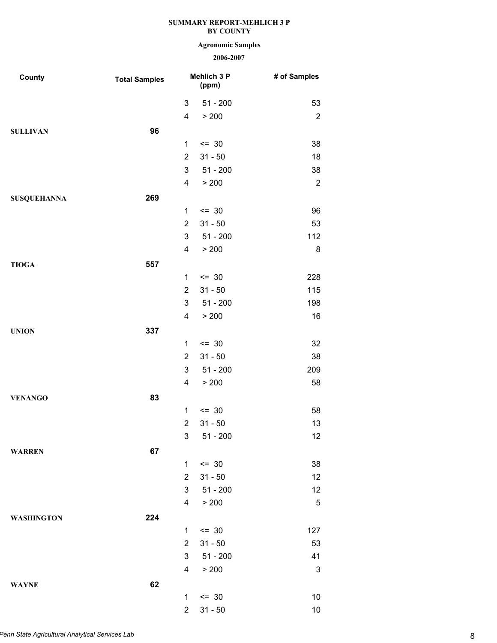# **Agronomic Samples**

| County             | <b>Total Samples</b> |                         | Mehlich 3 P<br>(ppm) | # of Samples   |
|--------------------|----------------------|-------------------------|----------------------|----------------|
|                    |                      | 3                       | $51 - 200$           | 53             |
|                    |                      | 4                       | > 200                | $\overline{c}$ |
| <b>SULLIVAN</b>    | 96                   |                         |                      |                |
|                    |                      | $\mathbf{1}$            | $\leq$ 30            | 38             |
|                    |                      | $\overline{2}$          | $31 - 50$            | 18             |
|                    |                      | 3                       | $51 - 200$           | 38             |
|                    |                      | $\overline{\mathbf{4}}$ | > 200                | $\overline{2}$ |
| <b>SUSQUEHANNA</b> | 269                  |                         |                      |                |
|                    |                      | 1                       | $\leq$ 30            | 96             |
|                    |                      | $\overline{2}$          | $31 - 50$            | 53             |
|                    |                      | $\mathfrak{B}$          | $51 - 200$           | 112            |
|                    |                      | 4                       | > 200                | 8              |
| <b>TIOGA</b>       | 557                  |                         |                      |                |
|                    |                      | 1                       | $\leq$ 30            | 228            |
|                    |                      | $\overline{2}$          | $31 - 50$            | 115            |
|                    |                      | $\mathbf{3}$            | $51 - 200$           | 198            |
|                    |                      | 4                       | > 200                | 16             |
| <b>UNION</b>       | 337                  |                         |                      |                |
|                    |                      | 1                       | $\leq$ 30            | 32             |
|                    |                      | $\overline{2}$          | $31 - 50$            | 38             |
|                    |                      | 3                       | $51 - 200$           | 209            |
|                    |                      | $\overline{\mathbf{4}}$ | > 200                | 58             |
| <b>VENANGO</b>     | 83                   |                         |                      |                |
|                    |                      | 1                       | $\leq$ 30            | 58             |
|                    |                      | $\overline{2}$          | $31 - 50$            | 13             |
|                    |                      | 3 <sup>7</sup>          | 51 - 200             | 12             |
| <b>WARREN</b>      | 67                   |                         |                      |                |
|                    |                      | 1                       | $\leq$ 30            | 38             |
|                    |                      | $\overline{2}$          | $31 - 50$            | 12             |
|                    |                      | 3                       | $51 - 200$           | 12             |
|                    |                      | $\overline{\mathbf{4}}$ | > 200                | 5              |
| <b>WASHINGTON</b>  | 224                  |                         |                      |                |
|                    |                      | 1.                      | $\leq$ 30            | 127            |
|                    |                      | $\overline{2}$          | $31 - 50$            | 53             |
|                    |                      | 3                       | $51 - 200$           | 41             |
|                    |                      | 4                       | > 200                | 3              |
| <b>WAYNE</b>       | 62                   |                         |                      |                |
|                    |                      | 1                       | $\leq$ 30            | 10             |
|                    |                      | $\overline{2}$          | $31 - 50$            | 10             |